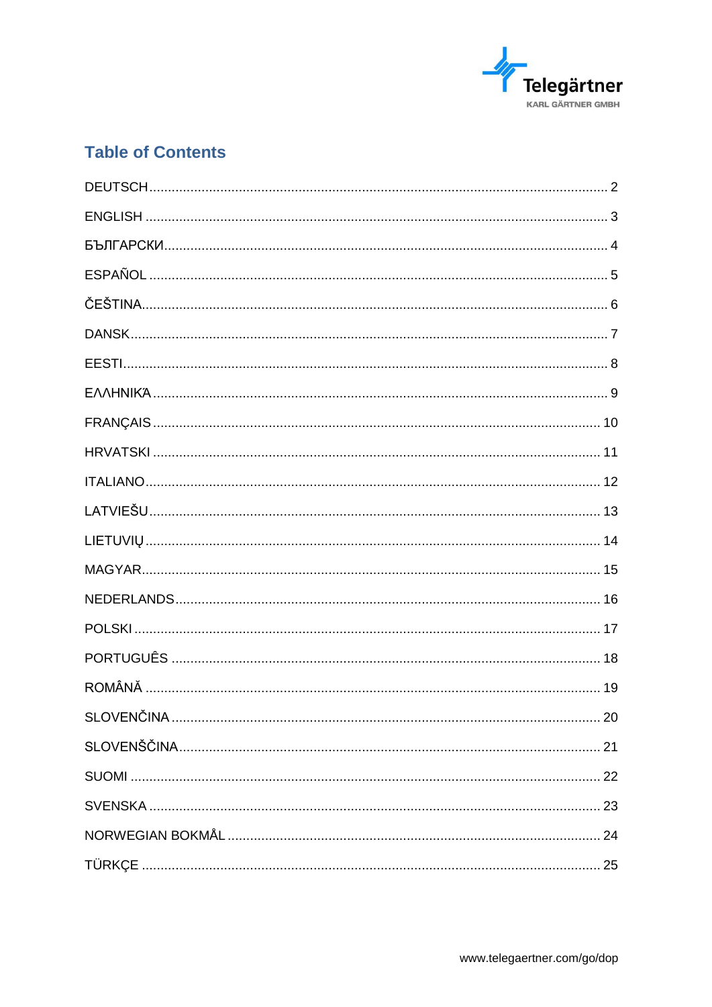

# **Table of Contents**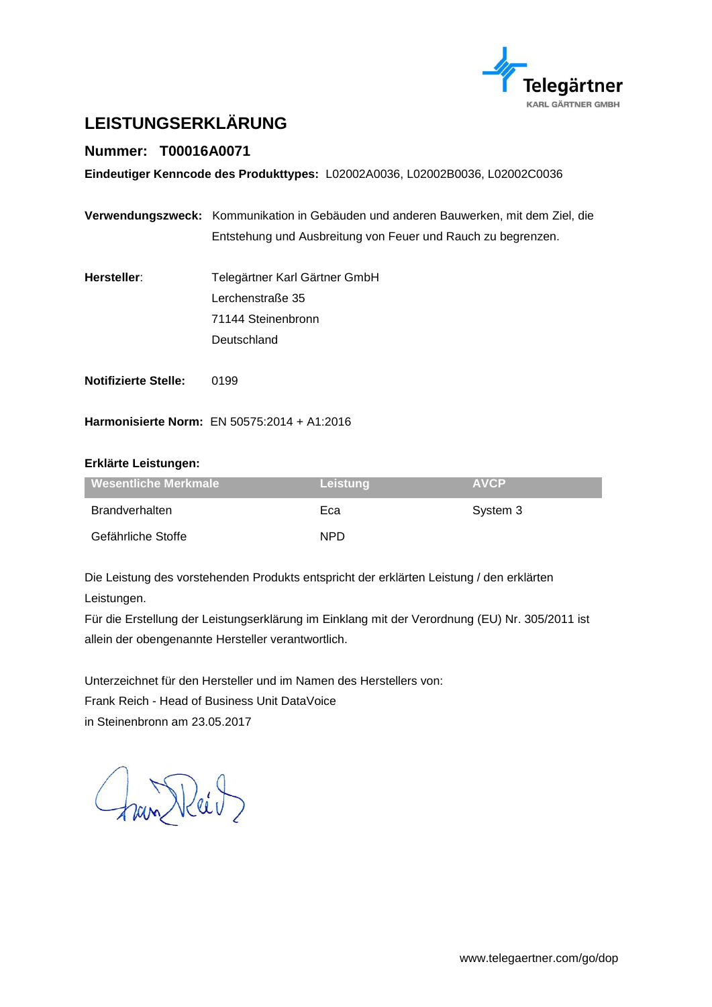

# <span id="page-1-0"></span>**LEISTUNGSERKLÄRUNG**

### **Nummer: T00016A0071**

**Eindeutiger Kenncode des Produkttypes:** L02002A0036, L02002B0036, L02002C0036

| Verwendungszweck: Kommunikation in Gebäuden und anderen Bauwerken, mit dem Ziel, die |
|--------------------------------------------------------------------------------------|
| Entstehung und Ausbreitung von Feuer und Rauch zu begrenzen.                         |

- **Hersteller**: Telegärtner Karl Gärtner GmbH Lerchenstraße 35 71144 Steinenbronn Deutschland
- **Notifizierte Stelle:** 0199

**Harmonisierte Norm:** EN 50575:2014 + A1:2016

#### **Erklärte Leistungen:**

| <b>Wesentliche Merkmale</b> | Leistung | <b>AVCP</b> |
|-----------------------------|----------|-------------|
| Brandverhalten              | Eca      | System 3    |
| Gefährliche Stoffe          | NPD.     |             |

Die Leistung des vorstehenden Produkts entspricht der erklärten Leistung / den erklärten Leistungen.

Für die Erstellung der Leistungserklärung im Einklang mit der Verordnung (EU) Nr. 305/2011 ist allein der obengenannte Hersteller verantwortlich.

Unterzeichnet für den Hersteller und im Namen des Herstellers von:

Frank Reich - Head of Business Unit DataVoice

in Steinenbronn am 23.05.2017

han Keit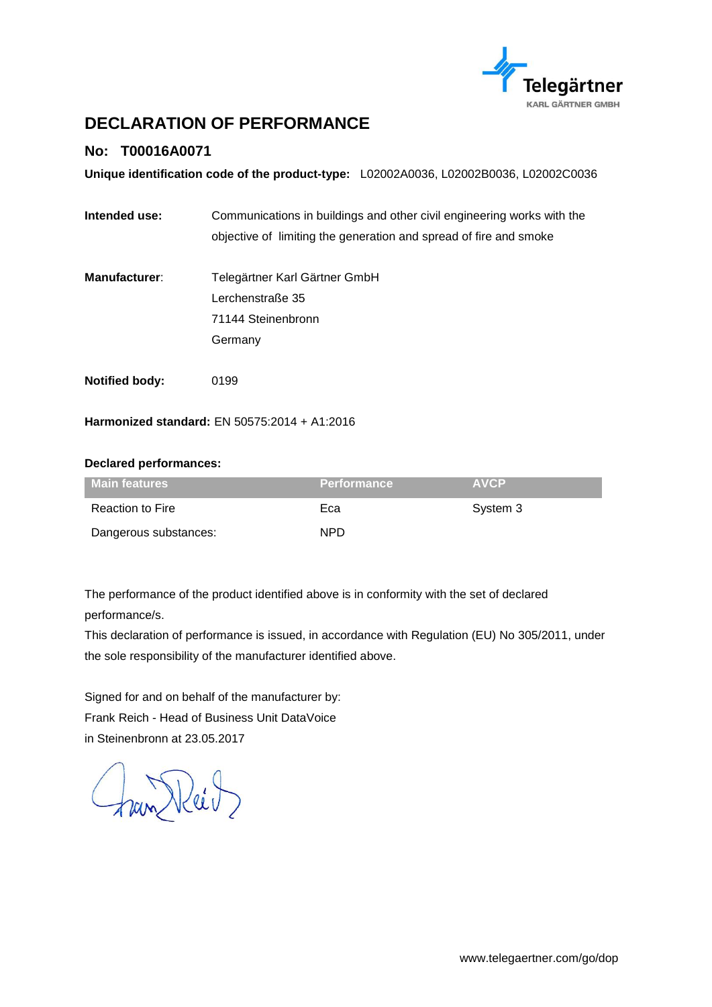

# <span id="page-2-0"></span>**DECLARATION OF PERFORMANCE**

### **No: T00016A0071**

**Unique identification code of the product-type:** L02002A0036, L02002B0036, L02002C0036

- **Intended use:** Communications in buildings and other civil engineering works with the objective of limiting the generation and spread of fire and smoke
- **Manufacturer**: Telegärtner Karl Gärtner GmbH Lerchenstraße 35 71144 Steinenbronn Germany
- **Notified body:** 0199

**Harmonized standard:** EN 50575:2014 + A1:2016

#### **Declared performances:**

| <b>Main features</b>  | <b>Performance</b> | <b>AVCP</b> |
|-----------------------|--------------------|-------------|
| Reaction to Fire      | Eca                | System 3    |
| Dangerous substances: | NPD.               |             |

The performance of the product identified above is in conformity with the set of declared performance/s.

This declaration of performance is issued, in accordance with Regulation (EU) No 305/2011, under the sole responsibility of the manufacturer identified above.

Signed for and on behalf of the manufacturer by: Frank Reich - Head of Business Unit DataVoice in Steinenbronn at 23.05.2017

ram Keit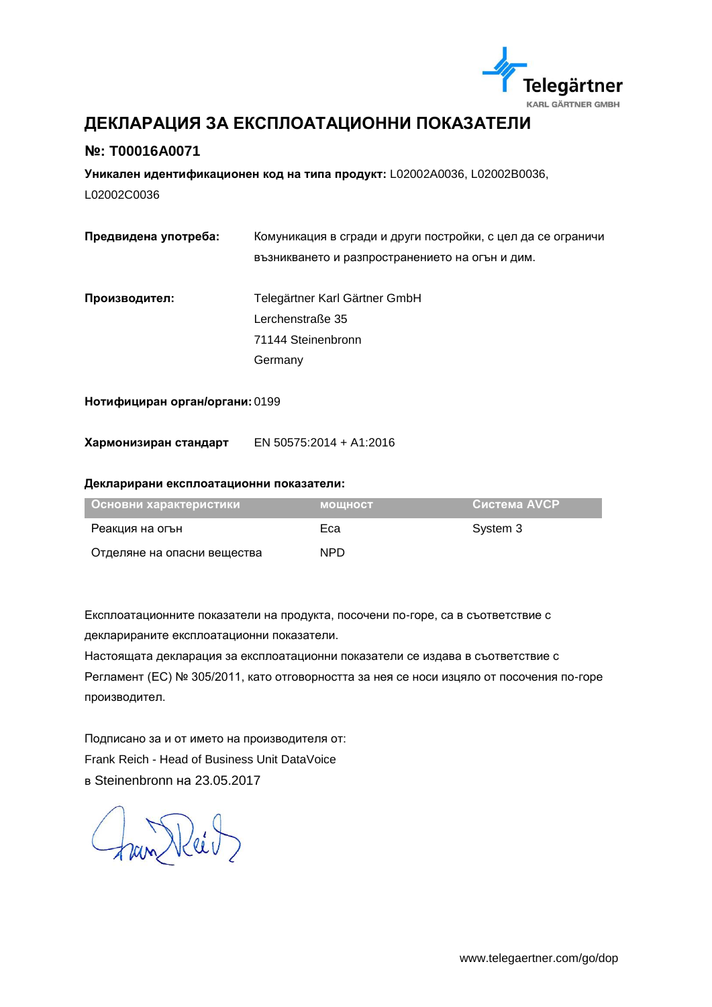

# <span id="page-3-0"></span>**ДЕКЛАРАЦИЯ ЗА ЕКСПЛОАТАЦИОННИ ПОКАЗАТЕЛИ**

### **№: T00016A0071**

**Уникален идентификационен код на типа продукт:** L02002A0036, L02002B0036, L02002C0036

| Предвидена употреба: | Комуникация в сгради и други постройки, с цел да се ограничи |
|----------------------|--------------------------------------------------------------|
|                      | възникването и разпространението на огън и дим.              |
|                      |                                                              |
| Производител:        | Telegärtner Karl Gärtner GmbH                                |
|                      | Lerchenstraße 35                                             |
|                      | 71144 Steinenbronn                                           |
|                      | Germany                                                      |
|                      |                                                              |

#### **Нотифициран орган/органи:** 0199

**Хармонизиран стандарт** EN 50575:2014 + A1:2016

#### **Декларирани експлоатационни показатели:**

| Основни характеристики      | <b>МОШНОСТ</b> | Система AVCP |
|-----------------------------|----------------|--------------|
| Реакция на огън             | Eca            | System 3     |
| Отделяне на опасни вещества | NPD.           |              |

Експлоатационните показатели на продукта, посочени по-горе, са в съответствие с декларираните експлоатационни показатели.

Настоящата декларация за експлоатационни показатели се издава в съответствие с Регламент (ЕС) № 305/2011, като отговорността за нея се носи изцяло от посочения по-горе производител.

Подписано за и от името на производителя от: Frank Reich - Head of Business Unit DataVoice в Steinenbronn на 23.05.2017

Fran Reil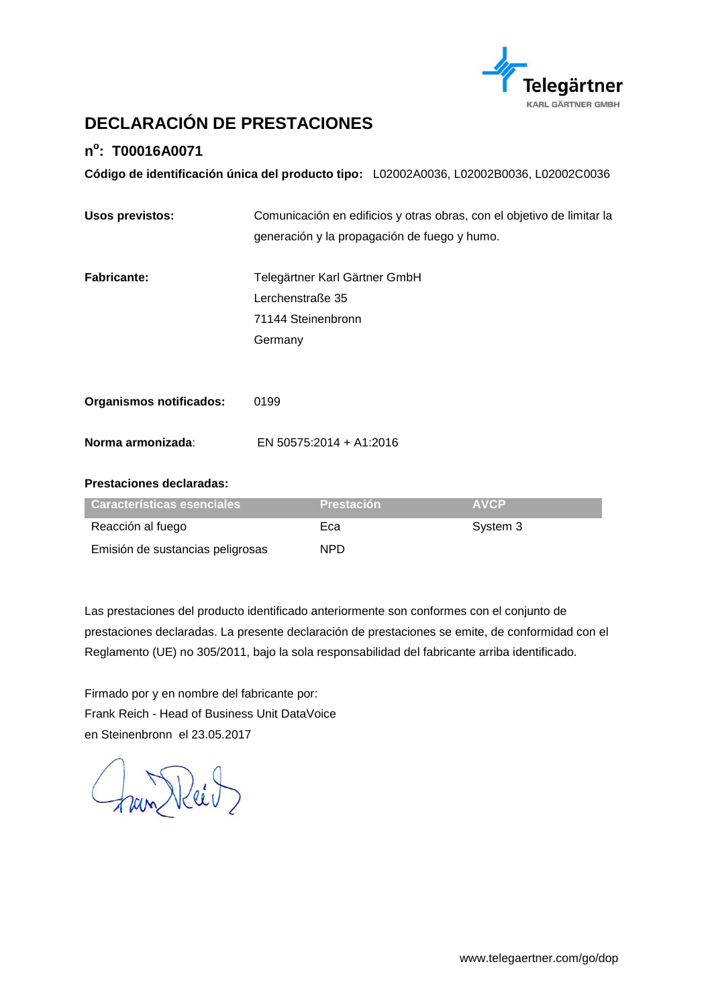

# <span id="page-4-0"></span>**DECLARACIÓN DE PRESTACIONES**

### **n o : T00016A0071**

**Código de identificación única del producto tipo:** L02002A0036, L02002B0036, L02002C0036

| <b>Usos previstos:</b>         | Comunicación en edificios y otras obras, con el objetivo de limitar la |  |
|--------------------------------|------------------------------------------------------------------------|--|
|                                | generación y la propagación de fuego y humo.                           |  |
|                                |                                                                        |  |
| <b>Fabricante:</b>             | Telegärtner Karl Gärtner GmbH                                          |  |
|                                | Lerchenstraße 35                                                       |  |
|                                | 71144 Steinenbronn                                                     |  |
|                                | Germany                                                                |  |
|                                |                                                                        |  |
|                                |                                                                        |  |
| <b>Organismos notificados:</b> | 0199                                                                   |  |
| Norma armonizada:              | EN 50575:2014 + A1:2016                                                |  |
|                                |                                                                        |  |

#### **Prestaciones declaradas:**

| Características esenciales       | <b>Prestación</b> | <b>AVCP</b> |
|----------------------------------|-------------------|-------------|
| Reacción al fuego                | Eca               | System 3    |
| Emisión de sustancias peligrosas | NPD.              |             |

Las prestaciones del producto identificado anteriormente son conformes con el conjunto de prestaciones declaradas. La presente declaración de prestaciones se emite, de conformidad con el Reglamento (UE) no 305/2011, bajo la sola responsabilidad del fabricante arriba identificado.

Firmado por y en nombre del fabricante por: Frank Reich - Head of Business Unit DataVoice en Steinenbronn el 23.05.2017

han Reitz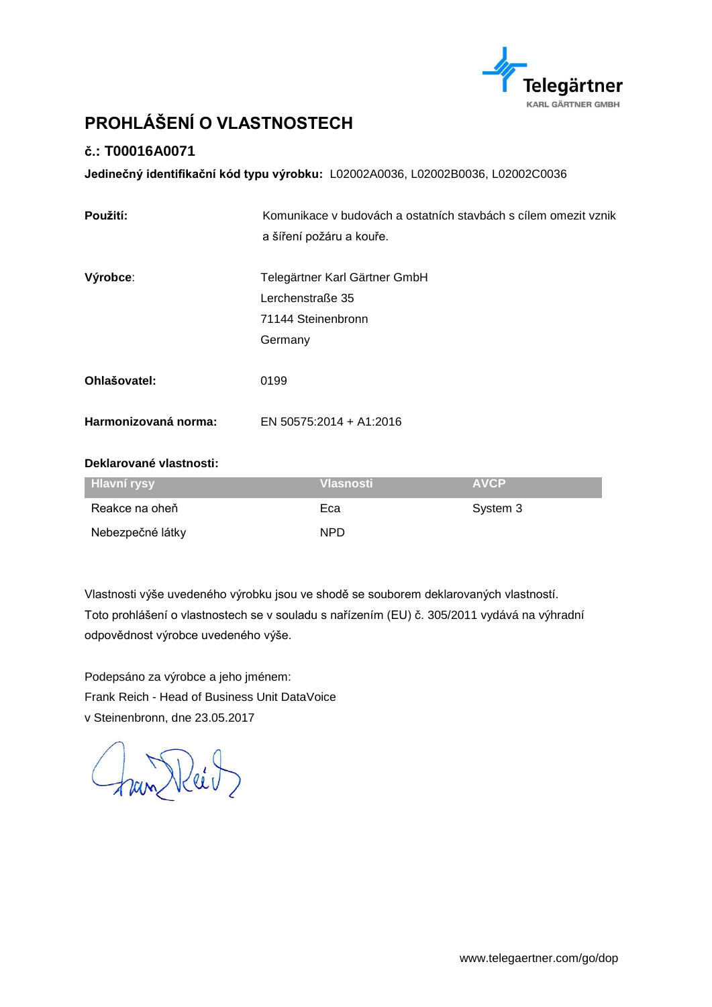

# <span id="page-5-0"></span>**PROHLÁŠENÍ O VLASTNOSTECH**

### **č.: T00016A0071**

**Jedinečný identifikační kód typu výrobku:** L02002A0036, L02002B0036, L02002C0036

| Použití:             | Komunikace v budovách a ostatních stavbách s cílem omezit vznik |  |
|----------------------|-----------------------------------------------------------------|--|
|                      | a šíření požáru a kouře.                                        |  |
| Výrobce:             | Telegärtner Karl Gärtner GmbH                                   |  |
|                      | Lerchenstraße 35                                                |  |
|                      | 71144 Steinenbronn                                              |  |
|                      | Germany                                                         |  |
|                      |                                                                 |  |
| Ohlašovatel:         | 0199                                                            |  |
| Harmonizovaná norma: | EN 50575:2014 + A1:2016                                         |  |

#### **Deklarované vlastnosti:**

| <b>Hlavní rysy</b> | <u>Vlasnosti</u> | <b>AVCP</b> |
|--------------------|------------------|-------------|
| Reakce na oheň     | Eca              | System 3    |
| Nebezpečné látky   | NPD.             |             |

Vlastnosti výše uvedeného výrobku jsou ve shodě se souborem deklarovaných vlastností. Toto prohlášení o vlastnostech se v souladu s nařízením (EU) č. 305/2011 vydává na výhradní odpovědnost výrobce uvedeného výše.

Podepsáno za výrobce a jeho jménem: Frank Reich - Head of Business Unit DataVoice v Steinenbronn, dne 23.05.2017

Joan Reil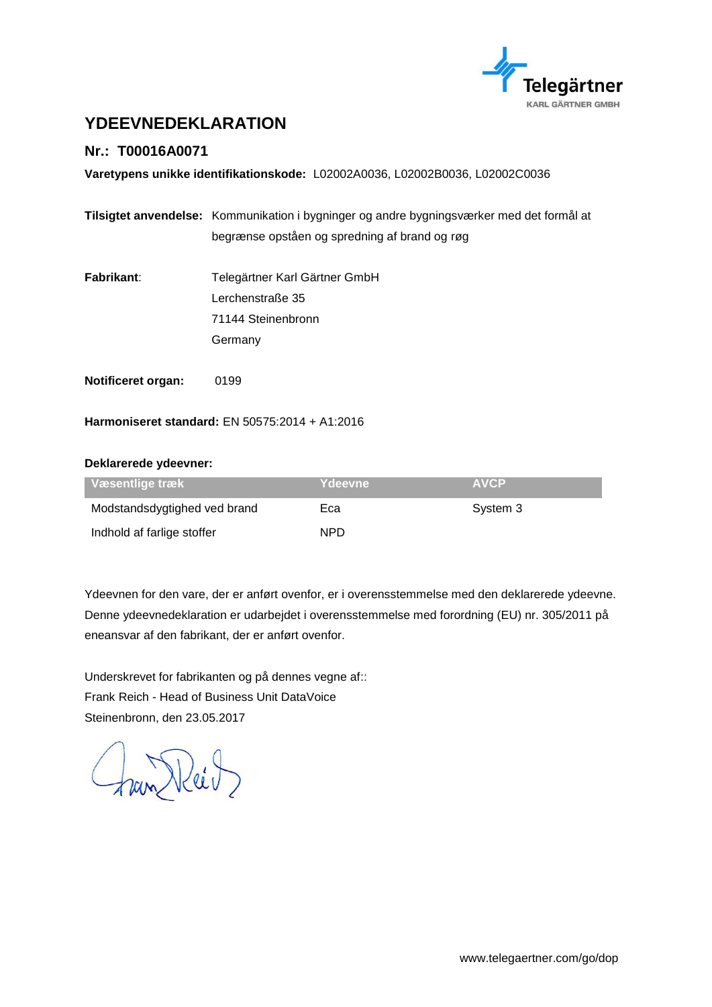

# <span id="page-6-0"></span>**YDEEVNEDEKLARATION**

### **Nr.: T00016A0071**

**Varetypens unikke identifikationskode:** L02002A0036, L02002B0036, L02002C0036

|                           | Tilsigtet anvendelse: Kommunikation i bygninger og andre bygningsværker med det formål at |  |
|---------------------------|-------------------------------------------------------------------------------------------|--|
|                           | begrænse opståen og spredning af brand og røg                                             |  |
| Fabrikant:                | Telegärtner Karl Gärtner GmbH                                                             |  |
|                           | Lerchenstraße 35                                                                          |  |
|                           | 71144 Steinenbronn                                                                        |  |
|                           | Germany                                                                                   |  |
| <b>Notificeret organ:</b> | 0199                                                                                      |  |

**Harmoniseret standard:** EN 50575:2014 + A1:2016

#### **Deklarerede ydeevner:**

| Væsentlige træk              | Ydeevne | <b>AVCP</b> |
|------------------------------|---------|-------------|
| Modstandsdygtighed ved brand | Eca     | System 3    |
| Indhold af farlige stoffer   | NPD.    |             |

Ydeevnen for den vare, der er anført ovenfor, er i overensstemmelse med den deklarerede ydeevne. Denne ydeevnedeklaration er udarbejdet i overensstemmelse med forordning (EU) nr. 305/2011 på eneansvar af den fabrikant, der er anført ovenfor.

Underskrevet for fabrikanten og på dennes vegne af:: Frank Reich - Head of Business Unit DataVoice Steinenbronn, den 23.05.2017

Fran Reil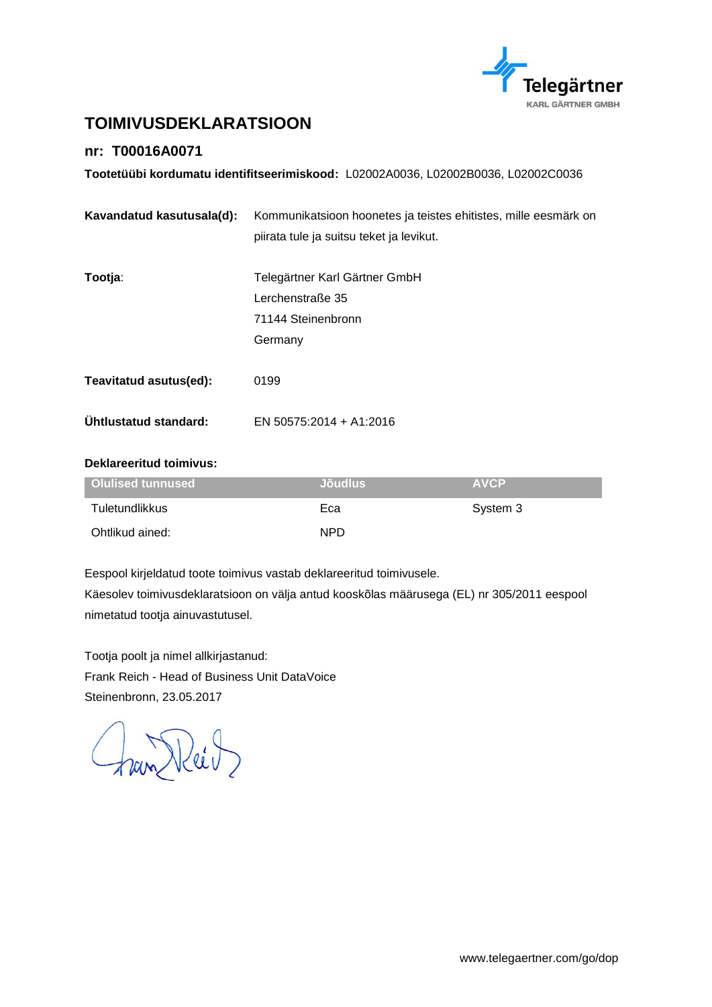

# <span id="page-7-0"></span>**TOIMIVUSDEKLARATSIOON**

### **nr: T00016A0071**

**Tootetüübi kordumatu identifitseerimiskood:** L02002A0036, L02002B0036, L02002C0036

| Kavandatud kasutusala(d):    | Kommunikatsioon hoonetes ja teistes ehitistes, mille eesmärk on |  |
|------------------------------|-----------------------------------------------------------------|--|
|                              | piirata tule ja suitsu teket ja levikut.                        |  |
|                              |                                                                 |  |
| Tootja:                      | Telegärtner Karl Gärtner GmbH                                   |  |
|                              | Lerchenstraße 35                                                |  |
|                              | 71144 Steinenbronn                                              |  |
|                              | Germany                                                         |  |
|                              |                                                                 |  |
| Teavitatud asutus(ed):       | 0199                                                            |  |
| <b>Uhtlustatud standard:</b> | EN 50575:2014 + A1:2016                                         |  |
|                              |                                                                 |  |

#### **Deklareeritud toimivus:**

| Olulised tunnused | <b>Jõudlus</b> | <b>AVCP</b> |
|-------------------|----------------|-------------|
| Tuletundlikkus    | Eca            | System 3    |
| Ohtlikud ained:   | <b>NPD</b>     |             |

Eespool kirjeldatud toote toimivus vastab deklareeritud toimivusele. Käesolev toimivusdeklaratsioon on välja antud kooskõlas määrusega (EL) nr 305/2011 eespool nimetatud tootja ainuvastutusel.

Tootja poolt ja nimel allkirjastanud: Frank Reich - Head of Business Unit DataVoice Steinenbronn, 23.05.2017

Fran Reid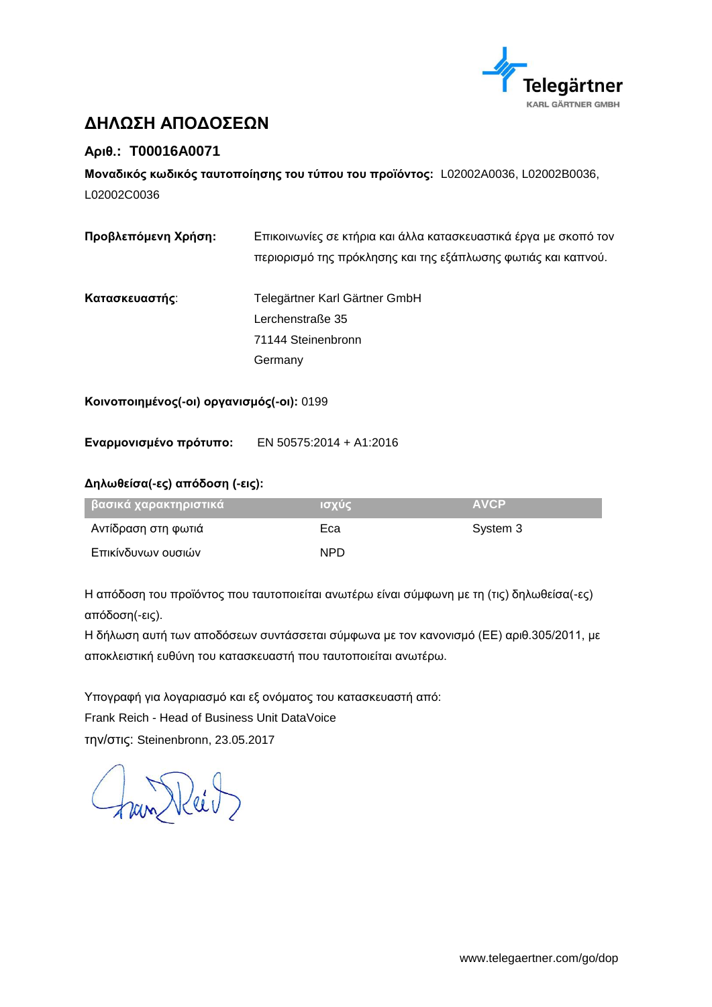

# <span id="page-8-0"></span>**ΔΗΛΩΣΗ ΑΠΟΔΟΣΕΩΝ**

### **Αριθ.: T00016A0071**

**Μοναδικός κωδικός ταυτοποίησης του τύπου του προϊόντος:** L02002A0036, L02002B0036, L02002C0036

| Προβλεπόμενη Χρήση: | Επικοινωνίες σε κτήρια και άλλα κατασκευαστικά έργα με σκοπό τον<br>περιορισμό της πρόκλησης και της εξάπλωσης φωτιάς και καπνού. |
|---------------------|-----------------------------------------------------------------------------------------------------------------------------------|
| Κατασκευαστής:      | Telegärtner Karl Gärtner GmbH<br>Lerchenstraße 35<br>71144 Steinenbronn<br>Germany                                                |
|                     |                                                                                                                                   |

**Κοινοποιημένος(-οι) οργανισμός(-οι):** 0199

**Εναρμονισμένο πρότυπο:** EN 50575:2014 + A1:2016

#### **Δηλωθείσα(-ες) απόδοση (-εις):**

| βασικά χαρακτηριστικά <sub> </sub> | Ισχύς | <b>AVCP</b> |
|------------------------------------|-------|-------------|
| Αντίδραση στη φωτιά                | Eca   | System 3    |
| Επικίνδυνων ουσιών                 | NPD.  |             |

Η απόδοση του προϊόντος που ταυτοποιείται ανωτέρω είναι σύμφωνη με τη (τις) δηλωθείσα(-ες) απόδοση(-εις).

Η δήλωση αυτή των αποδόσεων συντάσσεται σύμφωνα με τον κανονισμό (ΕΕ) αριθ.305/2011, με αποκλειστική ευθύνη του κατασκευαστή που ταυτοποιείται ανωτέρω.

Υπογραφή για λογαριασμό και εξ ονόματος του κατασκευαστή από: Frank Reich - Head of Business Unit DataVoice την/στις: Steinenbronn, 23.05.2017

Fran Reid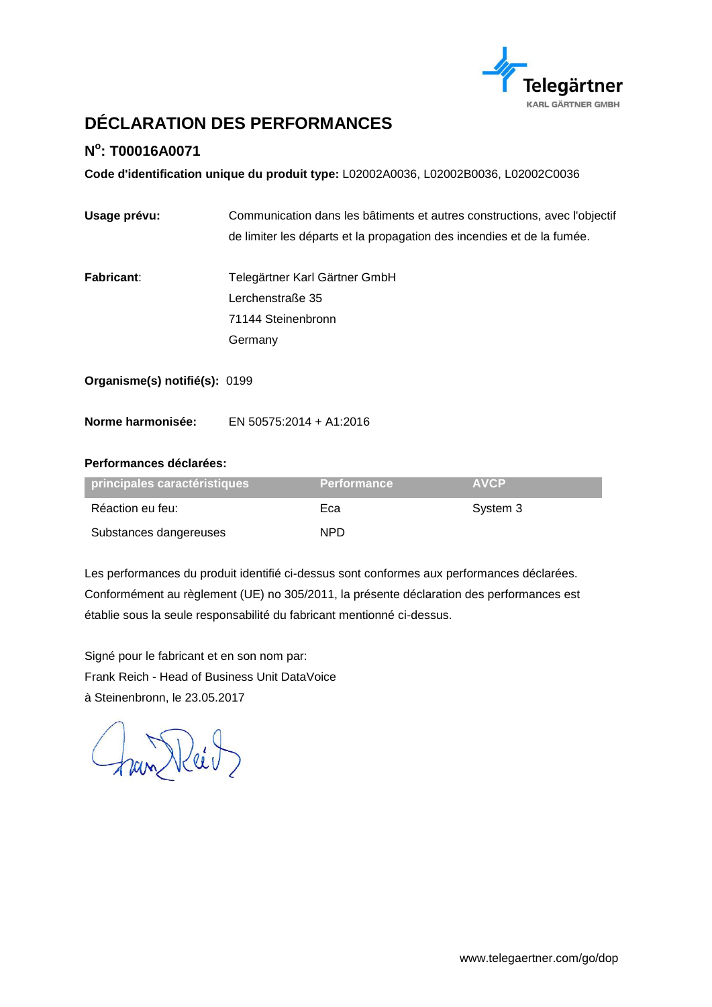

# <span id="page-9-0"></span>**DÉCLARATION DES PERFORMANCES**

### **N o : T00016A0071**

**Code d'identification unique du produit type:** L02002A0036, L02002B0036, L02002C0036

| Usage prévu: | Communication dans les bâtiments et autres constructions, avec l'objectif |
|--------------|---------------------------------------------------------------------------|
|              | de limiter les départs et la propagation des incendies et de la fumée.    |
|              |                                                                           |

**Fabricant**: Telegärtner Karl Gärtner GmbH Lerchenstraße 35 71144 Steinenbronn Germany

**Organisme(s) notifié(s):** 0199

**Norme harmonisée:** EN 50575:2014 + A1:2016

#### **Performances déclarées:**

| principales caractéristiques | <b>Performance</b> | <b>AVCP</b> |
|------------------------------|--------------------|-------------|
| Réaction eu feu:             | Eca                | System 3    |
| Substances dangereuses       | NPD.               |             |

Les performances du produit identifié ci-dessus sont conformes aux performances déclarées. Conformément au règlement (UE) no 305/2011, la présente déclaration des performances est établie sous la seule responsabilité du fabricant mentionné ci-dessus.

Signé pour le fabricant et en son nom par: Frank Reich - Head of Business Unit DataVoice à Steinenbronn, le 23.05.2017

han Reil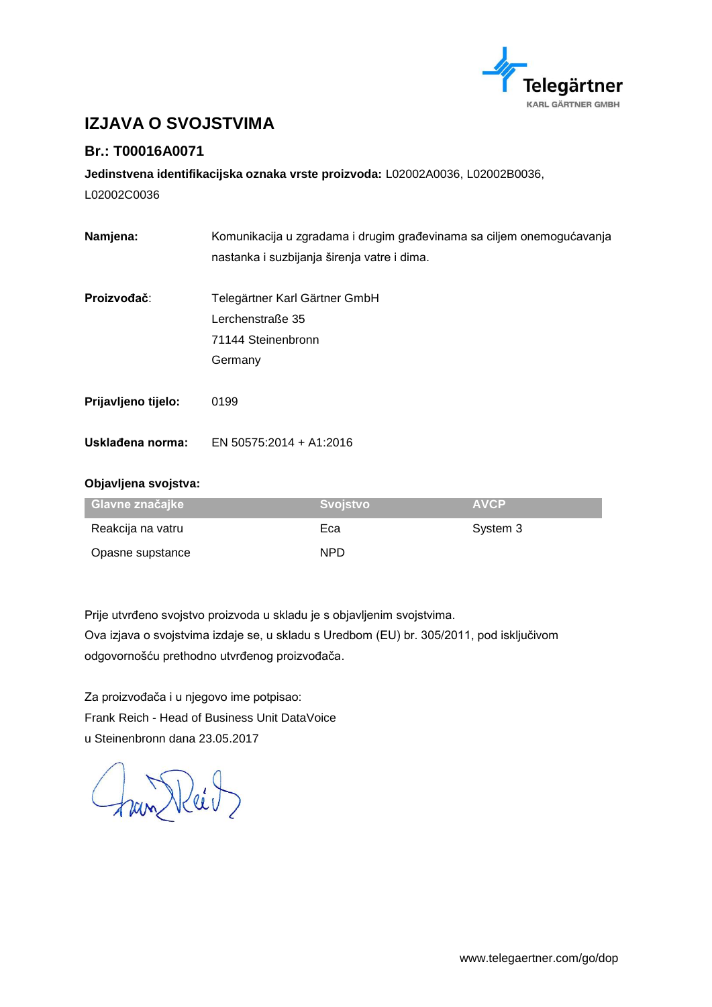

# <span id="page-10-0"></span>**IZJAVA O SVOJSTVIMA**

### **Br.: T00016A0071**

**Jedinstvena identifikacijska oznaka vrste proizvoda:** L02002A0036, L02002B0036,

L02002C0036

| Komunikacija u zgradama i drugim građevinama sa ciljem onemogućavanja |  |  |
|-----------------------------------------------------------------------|--|--|
| nastanka i suzbijanja širenja vatre i dima.                           |  |  |
|                                                                       |  |  |
| Telegärtner Karl Gärtner GmbH                                         |  |  |
| Lerchenstraße 35                                                      |  |  |
| 71144 Steinenbronn                                                    |  |  |
| Germany                                                               |  |  |
| 0199                                                                  |  |  |
| EN 50575:2014 + A1:2016                                               |  |  |
|                                                                       |  |  |

#### **Objavljena svojstva:**

| Glavne značajke   | Svoistvo | <b>AVCP</b> |
|-------------------|----------|-------------|
| Reakcija na vatru | Eca      | System 3    |
| Opasne supstance  | NPD.     |             |

Prije utvrđeno svojstvo proizvoda u skladu je s objavljenim svojstvima. Ova izjava o svojstvima izdaje se, u skladu s Uredbom (EU) br. 305/2011, pod isključivom odgovornošću prethodno utvrđenog proizvođača.

Za proizvođača i u njegovo ime potpisao: Frank Reich - Head of Business Unit DataVoice u Steinenbronn dana 23.05.2017

fran Reit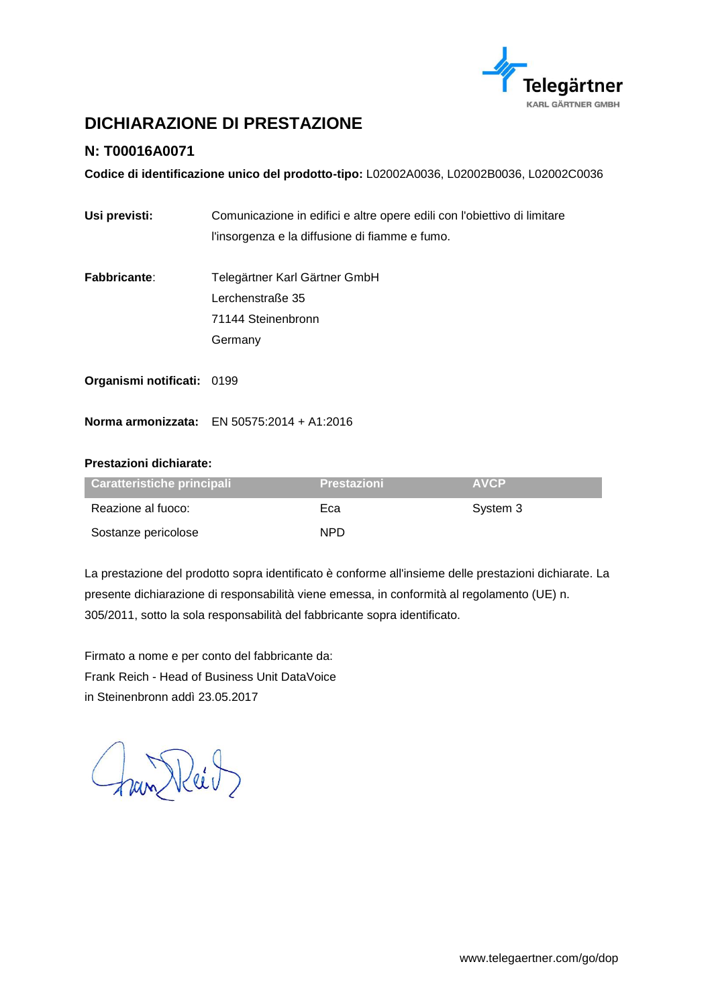

# <span id="page-11-0"></span>**DICHIARAZIONE DI PRESTAZIONE**

### **N: T00016A0071**

**Codice di identificazione unico del prodotto-tipo:** L02002A0036, L02002B0036, L02002C0036

| Usi previsti:              | Comunicazione in edifici e altre opere edili con l'obiettivo di limitare |  |  |
|----------------------------|--------------------------------------------------------------------------|--|--|
|                            | l'insorgenza e la diffusione di fiamme e fumo.                           |  |  |
| <b>Fabbricante:</b>        | Telegärtner Karl Gärtner GmbH                                            |  |  |
|                            | Lerchenstraße 35                                                         |  |  |
|                            | 71144 Steinenbronn                                                       |  |  |
|                            | Germany                                                                  |  |  |
| Organismi notificati: 0199 |                                                                          |  |  |

**Norma armonizzata:** EN 50575:2014 + A1:2016

#### **Prestazioni dichiarate:**

| Caratteristiche principali | <b>Prestazioni</b> | <b>AVCP</b> |
|----------------------------|--------------------|-------------|
| Reazione al fuoco:         | Eca                | System 3    |
| Sostanze pericolose        | NPD.               |             |

La prestazione del prodotto sopra identificato è conforme all'insieme delle prestazioni dichiarate. La presente dichiarazione di responsabilità viene emessa, in conformità al regolamento (UE) n. 305/2011, sotto la sola responsabilità del fabbricante sopra identificato.

Firmato a nome e per conto del fabbricante da: Frank Reich - Head of Business Unit DataVoice in Steinenbronn addì 23.05.2017

Fran Reit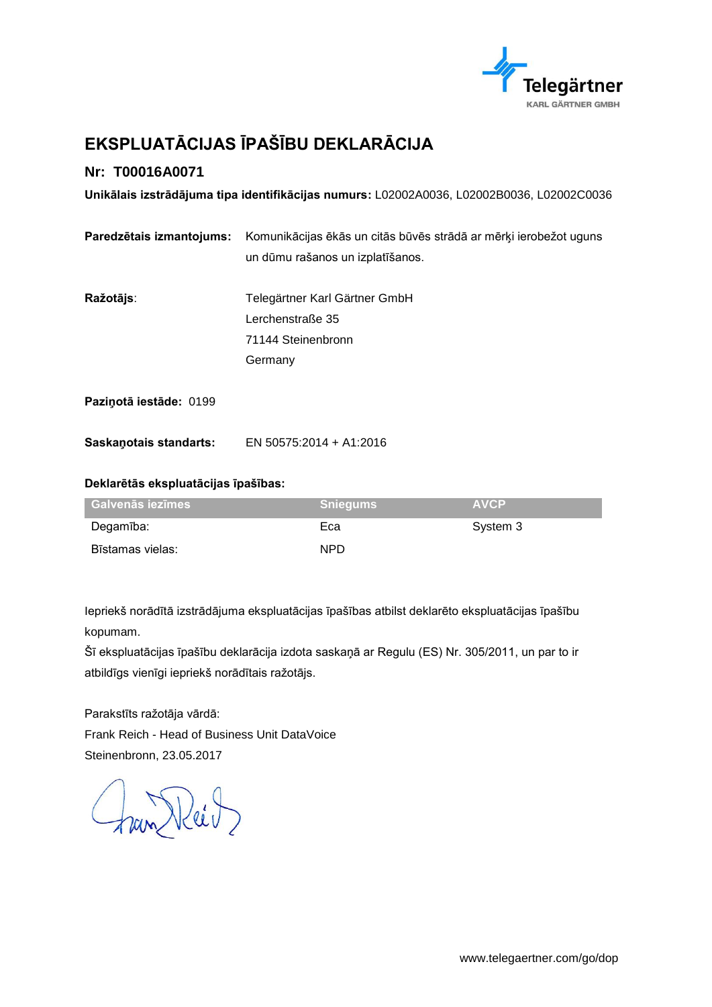

# <span id="page-12-0"></span>**EKSPLUATĀCIJAS ĪPAŠĪBU DEKLARĀCIJA**

### **Nr: T00016A0071**

**Unikālais izstrādājuma tipa identifikācijas numurs:** L02002A0036, L02002B0036, L02002C0036

| Paredzētais izmantojums: | Komunikācijas ēkās un citās būvēs strādā ar mērķi ierobežot uguns |  |
|--------------------------|-------------------------------------------------------------------|--|
|                          | un dūmu rašanos un izplatīšanos.                                  |  |
| Ražotājs:                | Telegärtner Karl Gärtner GmbH                                     |  |
|                          | Lerchenstraße 35                                                  |  |
|                          | 71144 Steinenbronn                                                |  |
|                          | Germany                                                           |  |
| Pazinotā iestāde: 0199   |                                                                   |  |
| Saskanotais standarts:   | EN 50575:2014 + A1:2016                                           |  |

#### **Deklarētās ekspluatācijas īpašības:**

| <b>Galvenās iezīmes</b> | <b>Sniegums</b> | <b>AVCP</b> |
|-------------------------|-----------------|-------------|
| Degamība:               | Eca             | System 3    |
| Bīstamas vielas:        | <b>NPD</b>      |             |

Iepriekš norādītā izstrādājuma ekspluatācijas īpašības atbilst deklarēto ekspluatācijas īpašību kopumam.

Šī ekspluatācijas īpašību deklarācija izdota saskaņā ar Regulu (ES) Nr. 305/2011, un par to ir atbildīgs vienīgi iepriekš norādītais ražotājs.

Parakstīts ražotāja vārdā: Frank Reich - Head of Business Unit DataVoice Steinenbronn, 23.05.2017

Fran Reil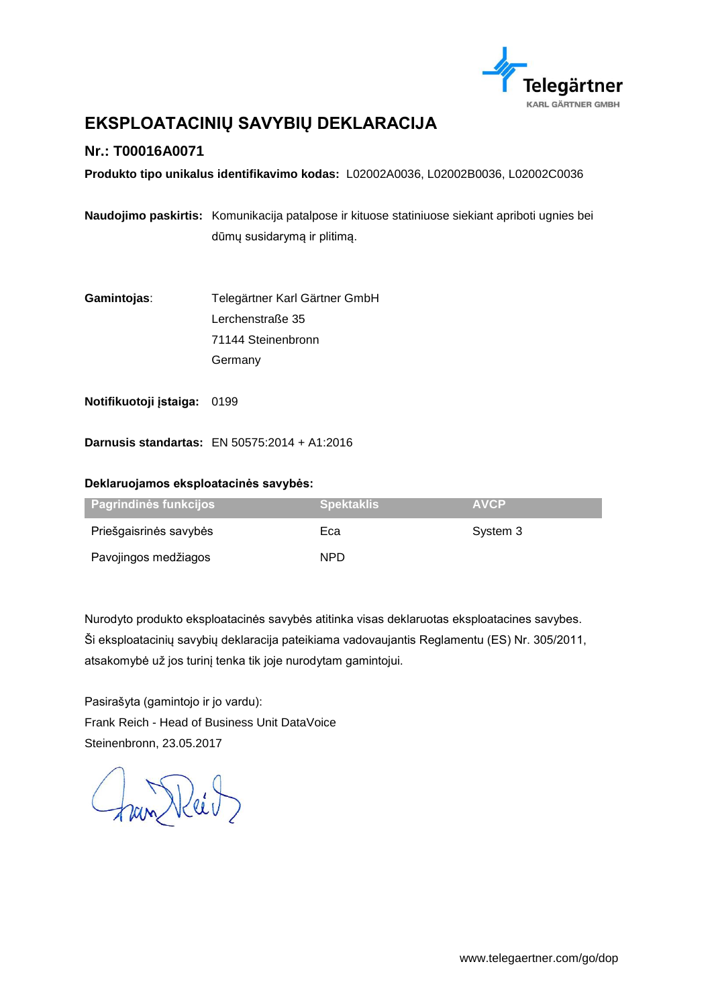

# <span id="page-13-0"></span>**EKSPLOATACINIŲ SAVYBIŲ DEKLARACIJA**

### **Nr.: T00016A0071**

**Produkto tipo unikalus identifikavimo kodas:** L02002A0036, L02002B0036, L02002C0036

**Naudojimo paskirtis:** Komunikacija patalpose ir kituose statiniuose siekiant apriboti ugnies bei dūmų susidarymą ir plitimą.

**Gamintojas**: Telegärtner Karl Gärtner GmbH Lerchenstraße 35 71144 Steinenbronn **Germany** 

**Notifikuotoji įstaiga:** 0199

**Darnusis standartas:** EN 50575:2014 + A1:2016

#### **Deklaruojamos eksploatacinės savybės:**

| Pagrindinės funkcijos ' | <b>Spektaklis</b> | <b>AVCP</b> |
|-------------------------|-------------------|-------------|
| Priešgaisrinės savybės  | Eca               | System 3    |
| Pavojingos medžiagos    | NPD.              |             |

Nurodyto produkto eksploatacinės savybės atitinka visas deklaruotas eksploatacines savybes. Ši eksploatacinių savybių deklaracija pateikiama vadovaujantis Reglamentu (ES) Nr. 305/2011, atsakomybė už jos turinį tenka tik joje nurodytam gamintojui.

Pasirašyta (gamintojo ir jo vardu): Frank Reich - Head of Business Unit DataVoice Steinenbronn, 23.05.2017

fran Reit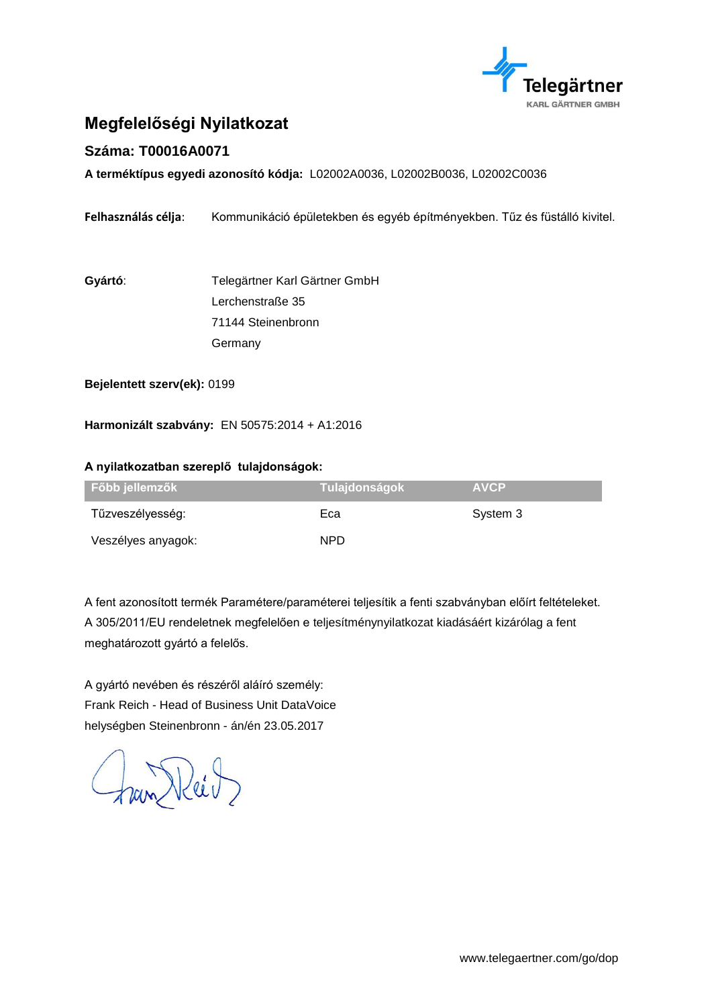

# <span id="page-14-0"></span>**Megfelelőségi Nyilatkozat**

### **Száma: T00016A0071**

**A terméktípus egyedi azonosító kódja:** L02002A0036, L02002B0036, L02002C0036

**Felhasználás célja**: Kommunikáció épületekben és egyéb építményekben. Tűz és füstálló kivitel.

**Gyártó**: Telegärtner Karl Gärtner GmbH Lerchenstraße 35 71144 Steinenbronn Germany

**Bejelentett szerv(ek):** 0199

**Harmonizált szabvány:** EN 50575:2014 + A1:2016

#### **A nyilatkozatban szereplő tulajdonságok:**

| Főbb jellemzők     | , Tulajdonságok <sup>∖</sup> | <b>AVCP</b> |
|--------------------|------------------------------|-------------|
| Tűzveszélyesség:   | Eca                          | System 3    |
| Veszélyes anyagok: | NPD.                         |             |

A fent azonosított termék Paramétere/paraméterei teljesítik a fenti szabványban előírt feltételeket. A 305/2011/EU rendeletnek megfelelően e teljesítménynyilatkozat kiadásáért kizárólag a fent meghatározott gyártó a felelős.

A gyártó nevében és részéről aláíró személy: Frank Reich - Head of Business Unit DataVoice helységben Steinenbronn - án/én 23.05.2017

Fran Reit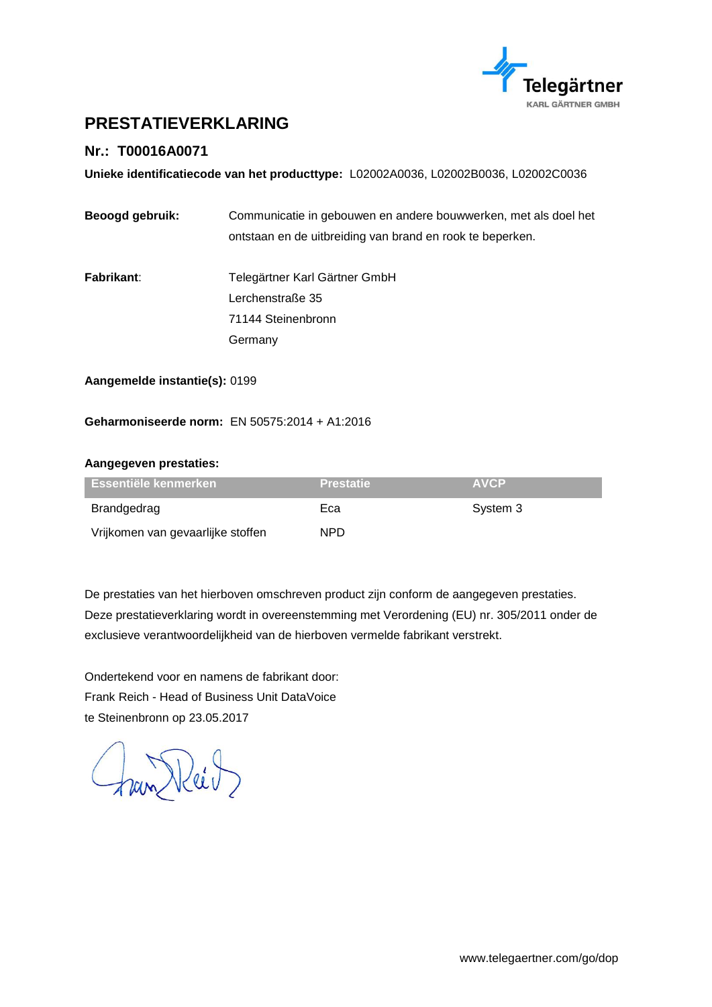

### <span id="page-15-0"></span>**PRESTATIEVERKLARING**

### **Nr.: T00016A0071**

**Unieke identificatiecode van het producttype:** L02002A0036, L02002B0036, L02002C0036

| Beoogd gebruik: | Communicatie in gebouwen en andere bouwwerken, met als doel het |
|-----------------|-----------------------------------------------------------------|
|                 | ontstaan en de uitbreiding van brand en rook te beperken.       |

**Fabrikant**: Telegärtner Karl Gärtner GmbH Lerchenstraße 35 71144 Steinenbronn Germany

**Aangemelde instantie(s):** 0199

#### **Geharmoniseerde norm:** EN 50575:2014 + A1:2016

#### **Aangegeven prestaties:**

| <b>Essentiële kenmerken</b> i     | <b>Prestatie</b> | <b>AVCP</b> |
|-----------------------------------|------------------|-------------|
| Brandgedrag                       | Eca              | System 3    |
| Vrijkomen van gevaarlijke stoffen | NPD.             |             |

De prestaties van het hierboven omschreven product zijn conform de aangegeven prestaties. Deze prestatieverklaring wordt in overeenstemming met Verordening (EU) nr. 305/2011 onder de exclusieve verantwoordelijkheid van de hierboven vermelde fabrikant verstrekt.

Ondertekend voor en namens de fabrikant door: Frank Reich - Head of Business Unit DataVoice te Steinenbronn op 23.05.2017

Fran Reil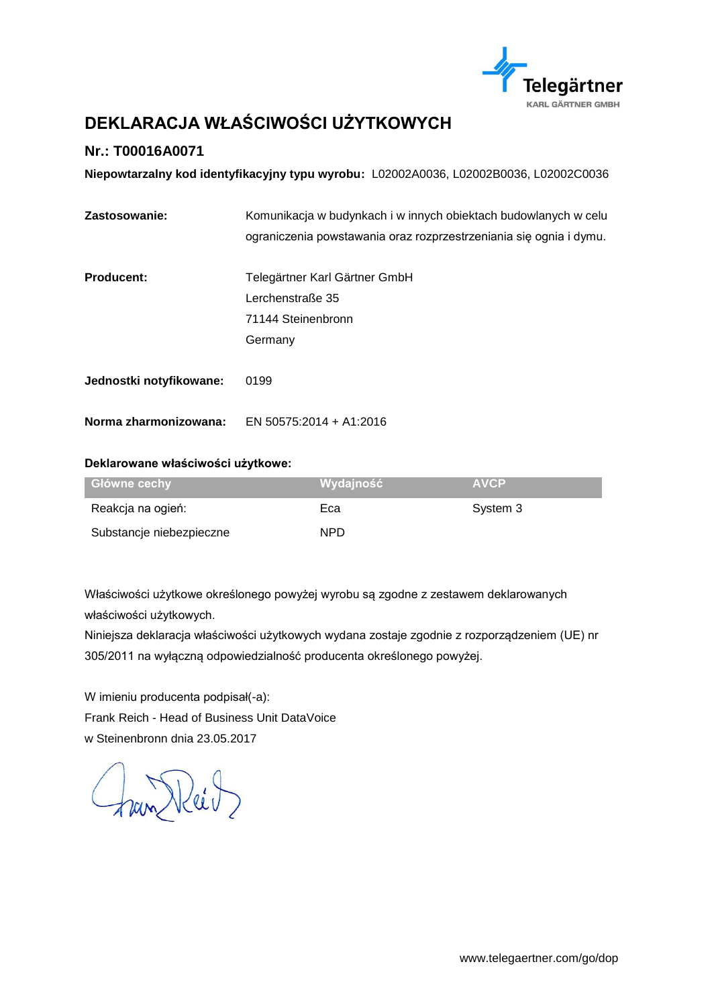

# <span id="page-16-0"></span>**DEKLARACJA WŁAŚCIWOŚCI UŻYTKOWYCH**

### **Nr.: T00016A0071**

**Niepowtarzalny kod identyfikacyjny typu wyrobu:** L02002A0036, L02002B0036, L02002C0036

| Zastosowanie:           | Komunikacja w budynkach i w innych obiektach budowlanych w celu    |  |
|-------------------------|--------------------------------------------------------------------|--|
|                         | ograniczenia powstawania oraz rozprzestrzeniania się ognia i dymu. |  |
| <b>Producent:</b>       | Telegärtner Karl Gärtner GmbH                                      |  |
|                         | Lerchenstraße 35                                                   |  |
|                         | 71144 Steinenbronn                                                 |  |
|                         | Germany                                                            |  |
| Jednostki notyfikowane: | 0199                                                               |  |
| Norma zharmonizowana:   | EN 50575:2014 + A1:2016                                            |  |

#### **Deklarowane właściwości użytkowe:**

| Główne cechy             | Wydainość | <b>AVCP</b> |
|--------------------------|-----------|-------------|
| Reakcja na ogień:        | Eca       | System 3    |
| Substancje niebezpieczne | NPD.      |             |

Właściwości użytkowe określonego powyżej wyrobu są zgodne z zestawem deklarowanych właściwości użytkowych.

Niniejsza deklaracja właściwości użytkowych wydana zostaje zgodnie z rozporządzeniem (UE) nr 305/2011 na wyłączną odpowiedzialność producenta określonego powyżej.

W imieniu producenta podpisał(-a): Frank Reich - Head of Business Unit DataVoice w Steinenbronn dnia 23.05.2017

fran Reit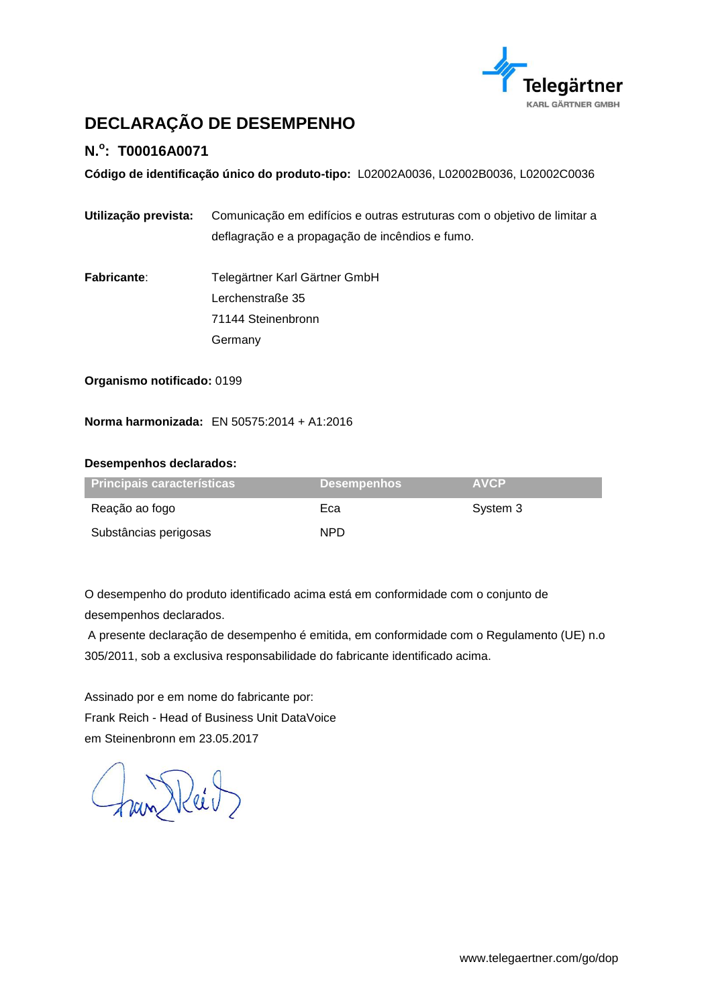

# <span id="page-17-0"></span>**DECLARAÇÃO DE DESEMPENHO**

### **N.<sup>o</sup> : T00016A0071**

**Código de identificação único do produto-tipo:** L02002A0036, L02002B0036, L02002C0036

- **Utilização prevista:** Comunicação em edifícios e outras estruturas com o objetivo de limitar a deflagração e a propagação de incêndios e fumo.
- **Fabricante**: Telegärtner Karl Gärtner GmbH Lerchenstraße 35 71144 Steinenbronn Germany

**Organismo notificado:** 0199

**Norma harmonizada:** EN 50575:2014 + A1:2016

#### **Desempenhos declarados:**

| <b>Principais características</b> | <b>Desempenhos</b> | <b>AVCP</b> |
|-----------------------------------|--------------------|-------------|
| Reação ao fogo                    | Eca                | System 3    |
| Substâncias perigosas             | NPD.               |             |

O desempenho do produto identificado acima está em conformidade com o conjunto de desempenhos declarados.

A presente declaração de desempenho é emitida, em conformidade com o Regulamento (UE) n.o 305/2011, sob a exclusiva responsabilidade do fabricante identificado acima.

Assinado por e em nome do fabricante por: Frank Reich - Head of Business Unit DataVoice em Steinenbronn em 23.05.2017

han Keit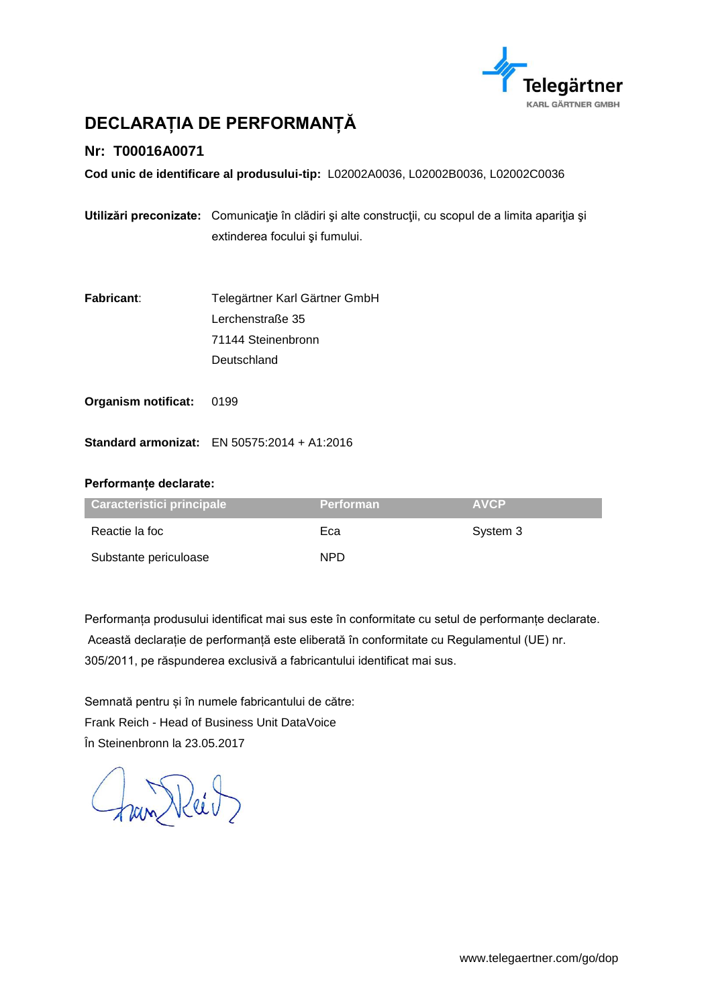

# <span id="page-18-0"></span>**DECLARAȚIA DE PERFORMANȚĂ**

### **Nr: T00016A0071**

**Cod unic de identificare al produsului-tip:** L02002A0036, L02002B0036, L02002C0036

|                            | Utilizări preconizate: Comunicație în clădiri și alte construcții, cu scopul de a limita apariția și<br>extinderea focului și fumului. |
|----------------------------|----------------------------------------------------------------------------------------------------------------------------------------|
| <b>Fabricant:</b>          | Telegärtner Karl Gärtner GmbH                                                                                                          |
|                            | Lerchenstraße 35                                                                                                                       |
|                            | 71144 Steinenbronn                                                                                                                     |
|                            | Deutschland                                                                                                                            |
| <b>Organism notificat:</b> | 0199                                                                                                                                   |
|                            | <b>Standard armonizat:</b> EN 50575:2014 + A1:2016                                                                                     |
| Performanțe declarate:     |                                                                                                                                        |

| Caracteristici principale | <b>Performan</b> | <b>AVCP</b> |
|---------------------------|------------------|-------------|
| Reactie la foc            | Eca              | System 3    |
| Substante periculoase     | NPD.             |             |

Performanța produsului identificat mai sus este în conformitate cu setul de performanțe declarate. Această declarație de performanță este eliberată în conformitate cu Regulamentul (UE) nr. 305/2011, pe răspunderea exclusivă a fabricantului identificat mai sus.

Semnată pentru și în numele fabricantului de către: Frank Reich - Head of Business Unit DataVoice În Steinenbronn la 23.05.2017

Fran Reil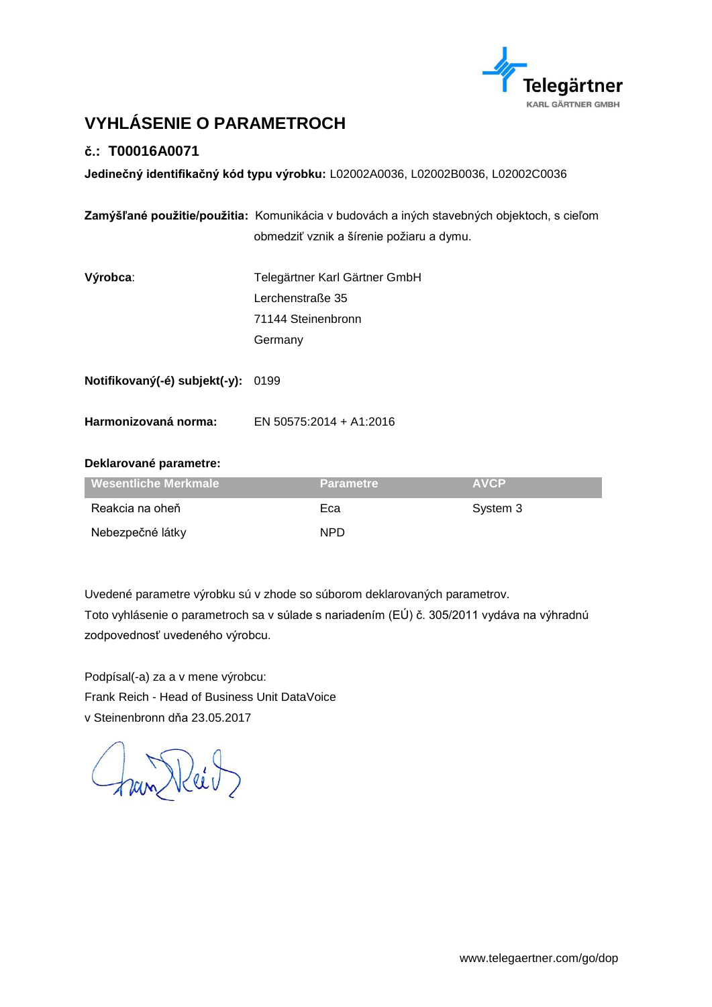

# <span id="page-19-0"></span>**VYHLÁSENIE O PARAMETROCH**

### **č.: T00016A0071**

**Jedinečný identifikačný kód typu výrobku:** L02002A0036, L02002B0036, L02002C0036

|                               | Zamýšľané použitie/použitia: Komunikácia v budovách a iných stavebných objektoch, s cieľom |  |
|-------------------------------|--------------------------------------------------------------------------------------------|--|
|                               | obmedziť vznik a šírenie požiaru a dymu.                                                   |  |
|                               |                                                                                            |  |
| Výrobca:                      | Telegärtner Karl Gärtner GmbH                                                              |  |
|                               | Lerchenstraße 35                                                                           |  |
|                               | 71144 Steinenbronn                                                                         |  |
|                               | Germany                                                                                    |  |
|                               |                                                                                            |  |
| Notifikovaný(-é) subjekt(-y): | 0199                                                                                       |  |
|                               |                                                                                            |  |
| Harmonizovaná norma:          | EN 50575:2014 + A1:2016                                                                    |  |

#### **Deklarované parametre:**

| Wesentliche Merkmale | <b>Parametre</b> | <b>AVCP</b> |
|----------------------|------------------|-------------|
| Reakcia na oheň      | Eca              | System 3    |
| Nebezpečné látky     | NPD.             |             |

Uvedené parametre výrobku sú v zhode so súborom deklarovaných parametrov.

Toto vyhlásenie o parametroch sa v súlade s nariadením (EÚ) č. 305/2011 vydáva na výhradnú zodpovednosť uvedeného výrobcu.

Podpísal(-a) za a v mene výrobcu: Frank Reich - Head of Business Unit DataVoice v Steinenbronn dňa 23.05.2017

Fran Reil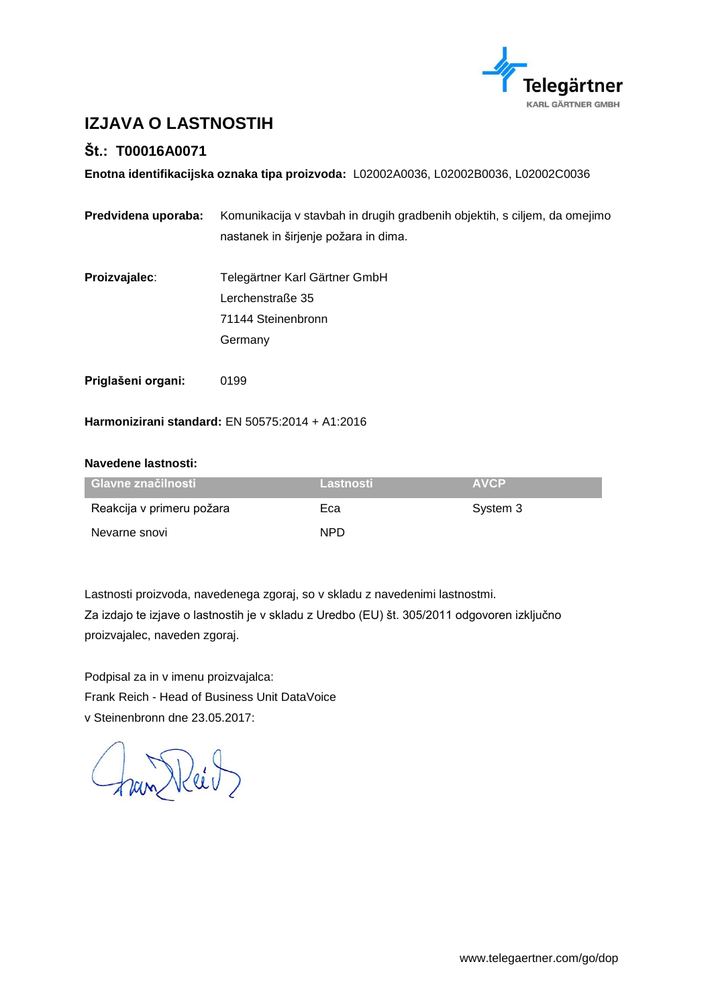

# <span id="page-20-0"></span>**IZJAVA O LASTNOSTIH**

### **Št.: T00016A0071**

**Enotna identifikacijska oznaka tipa proizvoda:** L02002A0036, L02002B0036, L02002C0036

| Predvidena uporaba: | Komunikacija v stavbah in drugih gradbenih objektih, s ciljem, da omejimo<br>nastanek in širjenje požara in dima. |
|---------------------|-------------------------------------------------------------------------------------------------------------------|
| Proizvajalec:       | Telegärtner Karl Gärtner GmbH<br>Lerchenstraße 35<br>71144 Steinenbronn                                           |
|                     | Germany                                                                                                           |
| Priglašeni organi:  | 0199                                                                                                              |

**Harmonizirani standard:** EN 50575:2014 + A1:2016

#### **Navedene lastnosti:**

| <b>Glavne značilnosti</b> | Lastnosti | <b>AVCP</b> |
|---------------------------|-----------|-------------|
| Reakcija v primeru požara | Eca       | System 3    |
| Nevarne snovi             | NPD.      |             |

Lastnosti proizvoda, navedenega zgoraj, so v skladu z navedenimi lastnostmi.

Za izdajo te izjave o lastnostih je v skladu z Uredbo (EU) št. 305/2011 odgovoren izključno proizvajalec, naveden zgoraj.

Podpisal za in v imenu proizvajalca: Frank Reich - Head of Business Unit DataVoice v Steinenbronn dne 23.05.2017:

fran Reit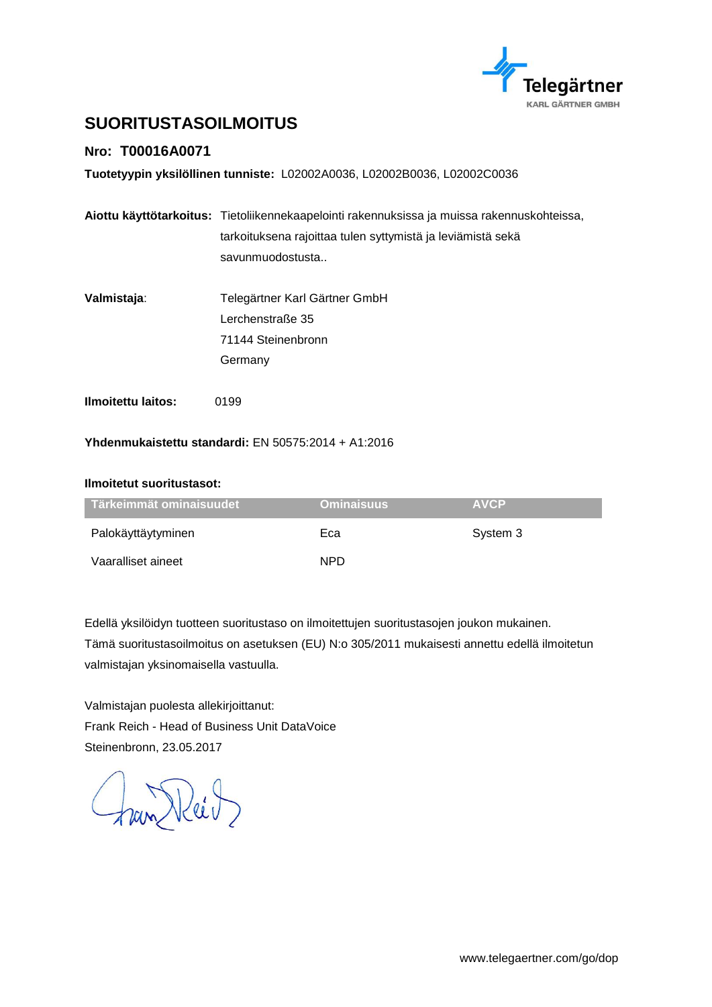

# <span id="page-21-0"></span>**SUORITUSTASOILMOITUS**

### **Nro: T00016A0071**

**Tuotetyypin yksilöllinen tunniste:** L02002A0036, L02002B0036, L02002C0036

|                                                     | Aiottu käyttötarkoitus: Tietoliikennekaapelointi rakennuksissa ja muissa rakennuskohteissa, |  |
|-----------------------------------------------------|---------------------------------------------------------------------------------------------|--|
|                                                     | tarkoituksena rajoittaa tulen syttymistä ja leviämistä sekä                                 |  |
|                                                     | savunmuodostusta                                                                            |  |
|                                                     |                                                                                             |  |
| Valmistaja:                                         | Telegärtner Karl Gärtner GmbH                                                               |  |
|                                                     | Lerchenstraße 35                                                                            |  |
|                                                     | 71144 Steinenbronn                                                                          |  |
|                                                     | Germany                                                                                     |  |
| <b>Ilmoitettu laitos:</b>                           | 0199                                                                                        |  |
| Yhdenmukaistettu standardi: EN 50575:2014 + A1:2016 |                                                                                             |  |

# **Ilmoitetut suoritustasot:**

| Tärkeimmät ominaisuudet | <b>Ominaisuus</b> | <b>AVCP</b> |
|-------------------------|-------------------|-------------|
| Palokäyttäytyminen      | Eca               | System 3    |
| Vaaralliset aineet      | NPD.              |             |

Edellä yksilöidyn tuotteen suoritustaso on ilmoitettujen suoritustasojen joukon mukainen. Tämä suoritustasoilmoitus on asetuksen (EU) N:o 305/2011 mukaisesti annettu edellä ilmoitetun valmistajan yksinomaisella vastuulla.

Valmistajan puolesta allekirjoittanut: Frank Reich - Head of Business Unit DataVoice Steinenbronn, 23.05.2017

Frankeit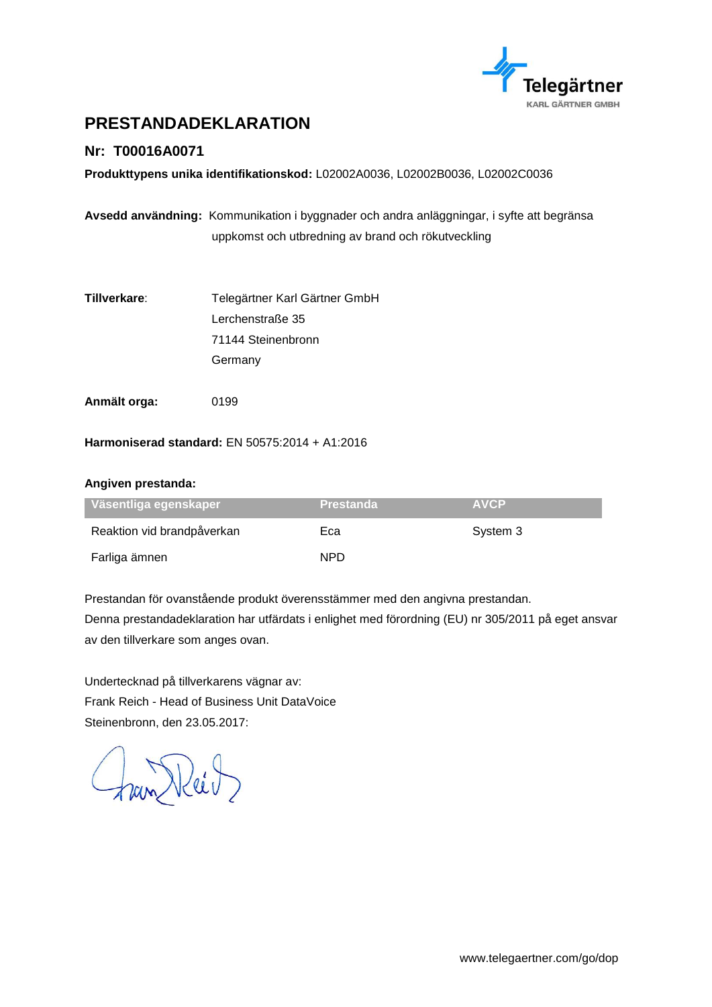

# <span id="page-22-0"></span>**PRESTANDADEKLARATION**

### **Nr: T00016A0071**

**Produkttypens unika identifikationskod:** L02002A0036, L02002B0036, L02002C0036

**Avsedd användning:** Kommunikation i byggnader och andra anläggningar, i syfte att begränsa uppkomst och utbredning av brand och rökutveckling

- **Tillverkare**: Telegärtner Karl Gärtner GmbH Lerchenstraße 35 71144 Steinenbronn **Germany**
- **Anmält orga:** 0199

**Harmoniserad standard:** EN 50575:2014 + A1:2016

#### **Angiven prestanda:**

| ∣ Väsentliga egenskaper    | <b>Prestanda</b> | <b>AVCP</b> |
|----------------------------|------------------|-------------|
| Reaktion vid brandpåverkan | Eca              | System 3    |
| Farliga ämnen              | NPD.             |             |

Prestandan för ovanstående produkt överensstämmer med den angivna prestandan.

Denna prestandadeklaration har utfärdats i enlighet med förordning (EU) nr 305/2011 på eget ansvar av den tillverkare som anges ovan.

Undertecknad på tillverkarens vägnar av: Frank Reich - Head of Business Unit DataVoice Steinenbronn, den 23.05.2017:

han Reit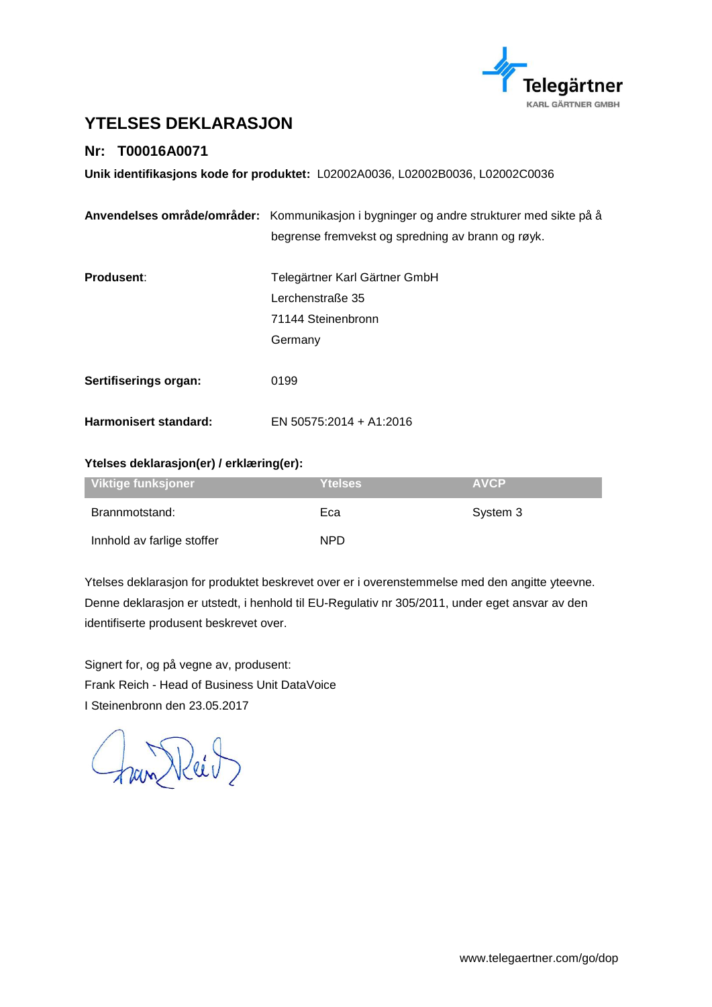

# <span id="page-23-0"></span>**YTELSES DEKLARASJON**

### **Nr: T00016A0071**

**Unik identifikasjons kode for produktet:** L02002A0036, L02002B0036, L02002C0036

|                       | Anvendelses område/områder: Kommunikasjon i bygninger og andre strukturer med sikte på å |  |
|-----------------------|------------------------------------------------------------------------------------------|--|
|                       | begrense fremvekst og spredning av brann og røyk.                                        |  |
|                       |                                                                                          |  |
| Produsent:            | Telegärtner Karl Gärtner GmbH                                                            |  |
|                       | Lerchenstraße 35                                                                         |  |
|                       | 71144 Steinenbronn                                                                       |  |
|                       | Germany                                                                                  |  |
|                       |                                                                                          |  |
| Sertifiserings organ: | 0199                                                                                     |  |
|                       |                                                                                          |  |
| Harmonisert standard: | EN 50575:2014 + A1:2016                                                                  |  |

#### **Ytelses deklarasjon(er) / erklæring(er):**

| Viktige funksjoner         | <b>Ytelses</b> | <b>AVCP</b> |
|----------------------------|----------------|-------------|
| Brannmotstand:             | Eca            | System 3    |
| Innhold av farlige stoffer | NPD.           |             |

Ytelses deklarasjon for produktet beskrevet over er i overenstemmelse med den angitte yteevne. Denne deklarasjon er utstedt, i henhold til EU-Regulativ nr 305/2011, under eget ansvar av den identifiserte produsent beskrevet over.

Signert for, og på vegne av, produsent: Frank Reich - Head of Business Unit DataVoice I Steinenbronn den 23.05.2017

Fran Reit